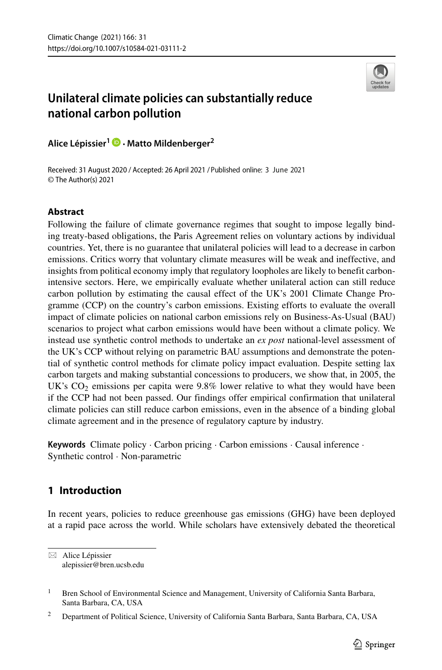

# **Unilateral climate policies can substantially reduce national carbon pollution**

**Alice Lepissier ´ <sup>1</sup> · Matto Mildenberger<sup>2</sup>**

Received: 31 August 2020 / Accepted: 26 April 2021 / Published online: 3 June 2021© The Author(s) 2021

## **Abstract**

Following the failure of climate governance regimes that sought to impose legally binding treaty-based obligations, the Paris Agreement relies on voluntary actions by individual countries. Yet, there is no guarantee that unilateral policies will lead to a decrease in carbon emissions. Critics worry that voluntary climate measures will be weak and ineffective, and insights from political economy imply that regulatory loopholes are likely to benefit carbonintensive sectors. Here, we empirically evaluate whether unilateral action can still reduce carbon pollution by estimating the causal effect of the UK's 2001 Climate Change Programme (CCP) on the country's carbon emissions. Existing efforts to evaluate the overall impact of climate policies on national carbon emissions rely on Business-As-Usual (BAU) scenarios to project what carbon emissions would have been without a climate policy. We instead use synthetic control methods to undertake an *ex post* national-level assessment of the UK's CCP without relying on parametric BAU assumptions and demonstrate the potential of synthetic control methods for climate policy impact evaluation. Despite setting lax carbon targets and making substantial concessions to producers, we show that, in 2005, the UK's  $CO<sub>2</sub>$  emissions per capita were 9.8% lower relative to what they would have been if the CCP had not been passed. Our findings offer empirical confirmation that unilateral climate policies can still reduce carbon emissions, even in the absence of a binding global climate agreement and in the presence of regulatory capture by industry.

**Keywords** Climate policy · Carbon pricing · Carbon emissions · Causal inference · Synthetic control · Non-parametric

## **1 Introduction**

In recent years, policies to reduce greenhouse gas emissions (GHG) have been deployed at a rapid pace across the world. While scholars have extensively debated the theoretical

⊠ Alice Lépissier [alepissier@bren.ucsb.edu](mailto: alepissier@bren.ucsb.edu)

<sup>&</sup>lt;sup>1</sup> Bren School of Environmental Science and Management, University of California Santa Barbara, Santa Barbara, CA, USA

<sup>&</sup>lt;sup>2</sup> Department of Political Science, University of California Santa Barbara, Santa Barbara, CA, USA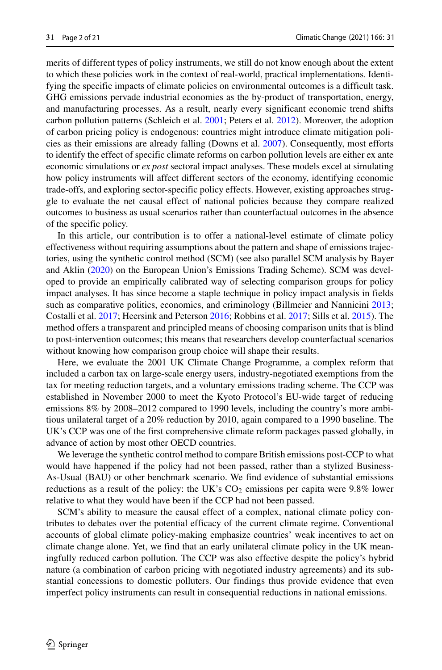merits of different types of policy instruments, we still do not know enough about the extent to which these policies work in the context of real-world, practical implementations. Identifying the specific impacts of climate policies on environmental outcomes is a difficult task. GHG emissions pervade industrial economies as the by-product of transportation, energy, and manufacturing processes. As a result, nearly every significant economic trend shifts carbon pollution patterns (Schleich et al. [2001;](#page-20-0) Peters et al. [2012\)](#page-19-0). Moreover, the adoption of carbon pricing policy is endogenous: countries might introduce climate mitigation policies as their emissions are already falling (Downs et al. [2007\)](#page-19-1). Consequently, most efforts to identify the effect of specific climate reforms on carbon pollution levels are either ex ante economic simulations or *ex post* sectoral impact analyses. These models excel at simulating how policy instruments will affect different sectors of the economy, identifying economic trade-offs, and exploring sector-specific policy effects. However, existing approaches struggle to evaluate the net causal effect of national policies because they compare realized outcomes to business as usual scenarios rather than counterfactual outcomes in the absence of the specific policy.

In this article, our contribution is to offer a national-level estimate of climate policy effectiveness without requiring assumptions about the pattern and shape of emissions trajectories, using the synthetic control method (SCM) (see also parallel SCM analysis by Bayer and Aklin [\(2020\)](#page-19-2) on the European Union's Emissions Trading Scheme). SCM was developed to provide an empirically calibrated way of selecting comparison groups for policy impact analyses. It has since become a staple technique in policy impact analysis in fields such as comparative politics, economics, and criminology (Billmeier and Nannicini [2013;](#page-19-3) Costalli et al. [2017;](#page-19-4) Heersink and Peterson [2016;](#page-19-5) Robbins et al. [2017;](#page-19-6) Sills et al. [2015\)](#page-20-1). The method offers a transparent and principled means of choosing comparison units that is blind to post-intervention outcomes; this means that researchers develop counterfactual scenarios without knowing how comparison group choice will shape their results.

Here, we evaluate the 2001 UK Climate Change Programme, a complex reform that included a carbon tax on large-scale energy users, industry-negotiated exemptions from the tax for meeting reduction targets, and a voluntary emissions trading scheme. The CCP was established in November 2000 to meet the Kyoto Protocol's EU-wide target of reducing emissions 8% by 2008–2012 compared to 1990 levels, including the country's more ambitious unilateral target of a 20% reduction by 2010, again compared to a 1990 baseline. The UK's CCP was one of the first comprehensive climate reform packages passed globally, in advance of action by most other OECD countries.

We leverage the synthetic control method to compare British emissions post-CCP to what would have happened if the policy had not been passed, rather than a stylized Business-As-Usual (BAU) or other benchmark scenario. We find evidence of substantial emissions reductions as a result of the policy: the UK's  $CO<sub>2</sub>$  emissions per capita were 9.8% lower relative to what they would have been if the CCP had not been passed.

SCM's ability to measure the causal effect of a complex, national climate policy contributes to debates over the potential efficacy of the current climate regime. Conventional accounts of global climate policy-making emphasize countries' weak incentives to act on climate change alone. Yet, we find that an early unilateral climate policy in the UK meaningfully reduced carbon pollution. The CCP was also effective despite the policy's hybrid nature (a combination of carbon pricing with negotiated industry agreements) and its substantial concessions to domestic polluters. Our findings thus provide evidence that even imperfect policy instruments can result in consequential reductions in national emissions.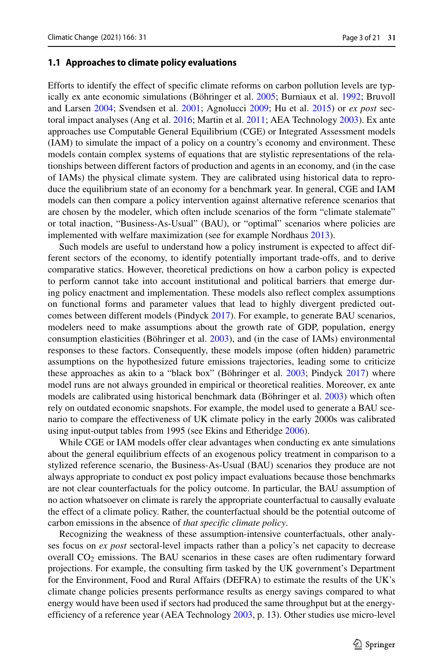#### **1.1 Approaches to climate policy evaluations**

Efforts to identify the effect of specific climate reforms on carbon pollution levels are typ-ically ex ante economic simulations (Böhringer et al. [2005;](#page-19-7) Burniaux et al. [1992;](#page-19-8) Bruvoll and Larsen [2004;](#page-19-9) Svendsen et al. [2001;](#page-20-2) Agnolucci [2009;](#page-19-10) Hu et al. [2015\)](#page-19-11) or *ex post* sectoral impact analyses (Ang et al. [2016;](#page-19-12) Martin et al. [2011;](#page-19-13) AEA Technology [2003\)](#page-19-14). Ex ante approaches use Computable General Equilibrium (CGE) or Integrated Assessment models (IAM) to simulate the impact of a policy on a country's economy and environment. These models contain complex systems of equations that are stylistic representations of the relationships between different factors of production and agents in an economy, and (in the case of IAMs) the physical climate system. They are calibrated using historical data to reproduce the equilibrium state of an economy for a benchmark year. In general, CGE and IAM models can then compare a policy intervention against alternative reference scenarios that are chosen by the modeler, which often include scenarios of the form "climate stalemate" or total inaction, "Business-As-Usual" (BAU), or "optimal" scenarios where policies are implemented with welfare maximization (see for example Nordhaus [2013\)](#page-19-15).

Such models are useful to understand how a policy instrument is expected to affect different sectors of the economy, to identify potentially important trade-offs, and to derive comparative statics. However, theoretical predictions on how a carbon policy is expected to perform cannot take into account institutional and political barriers that emerge during policy enactment and implementation. These models also reflect complex assumptions on functional forms and parameter values that lead to highly divergent predicted outcomes between different models (Pindyck [2017\)](#page-19-16). For example, to generate BAU scenarios, modelers need to make assumptions about the growth rate of GDP, population, energy consumption elasticities (Böhringer et al. [2003\)](#page-19-17), and (in the case of IAMs) environmental responses to these factors. Consequently, these models impose (often hidden) parametric assumptions on the hypothesized future emissions trajectories, leading some to criticize these approaches as akin to a "black box" (Böhringer et al.  $2003$ ; Pindyck  $2017$ ) where model runs are not always grounded in empirical or theoretical realities. Moreover, ex ante models are calibrated using historical benchmark data (Böhringer et al.  $2003$ ) which often rely on outdated economic snapshots. For example, the model used to generate a BAU scenario to compare the effectiveness of UK climate policy in the early 2000s was calibrated using input-output tables from 1995 (see Ekins and Etheridge [2006\)](#page-19-18).

While CGE or IAM models offer clear advantages when conducting ex ante simulations about the general equilibrium effects of an exogenous policy treatment in comparison to a stylized reference scenario, the Business-As-Usual (BAU) scenarios they produce are not always appropriate to conduct ex post policy impact evaluations because those benchmarks are not clear counterfactuals for the policy outcome. In particular, the BAU assumption of no action whatsoever on climate is rarely the appropriate counterfactual to causally evaluate the effect of a climate policy. Rather, the counterfactual should be the potential outcome of carbon emissions in the absence of *that specific climate policy*.

Recognizing the weakness of these assumption-intensive counterfactuals, other analyses focus on *ex post* sectoral-level impacts rather than a policy's net capacity to decrease overall CO2 emissions. The BAU scenarios in these cases are often rudimentary forward projections. For example, the consulting firm tasked by the UK government's Department for the Environment, Food and Rural Affairs (DEFRA) to estimate the results of the UK's climate change policies presents performance results as energy savings compared to what energy would have been used if sectors had produced the same throughput but at the energyefficiency of a reference year (AEA Technology [2003,](#page-19-14) p. 13). Other studies use micro-level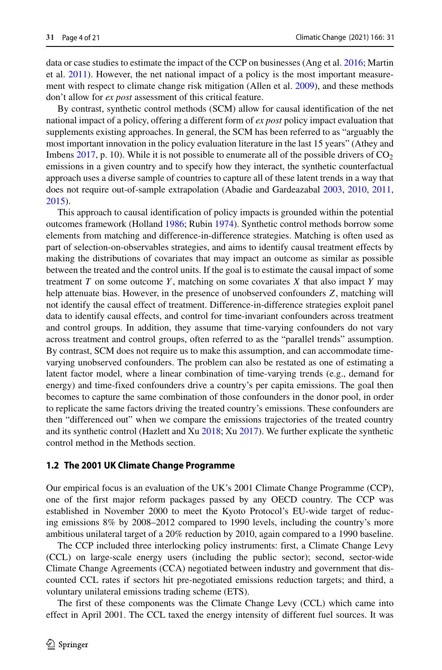data or case studies to estimate the impact of the CCP on businesses (Ang et al. [2016;](#page-19-12) Martin et al. [2011\)](#page-19-13). However, the net national impact of a policy is the most important measurement with respect to climate change risk mitigation (Allen et al. [2009\)](#page-19-19), and these methods don't allow for *ex post* assessment of this critical feature.

By contrast, synthetic control methods (SCM) allow for causal identification of the net national impact of a policy, offering a different form of *ex post* policy impact evaluation that supplements existing approaches. In general, the SCM has been referred to as "arguably the most important innovation in the policy evaluation literature in the last 15 years" (Athey and Imbens [2017,](#page-19-20) p. 10). While it is not possible to enumerate all of the possible drivers of  $CO<sub>2</sub>$ emissions in a given country and to specify how they interact, the synthetic counterfactual approach uses a diverse sample of countries to capture all of these latent trends in a way that does not require out-of-sample extrapolation (Abadie and Gardeazabal [2003,](#page-18-0) [2010,](#page-18-1) [2011,](#page-18-2) [2015\)](#page-18-3).

This approach to causal identification of policy impacts is grounded within the potential outcomes framework (Holland [1986;](#page-19-21) Rubin [1974\)](#page-20-3). Synthetic control methods borrow some elements from matching and difference-in-difference strategies. Matching is often used as part of selection-on-observables strategies, and aims to identify causal treatment effects by making the distributions of covariates that may impact an outcome as similar as possible between the treated and the control units. If the goal is to estimate the causal impact of some treatment  $T$  on some outcome  $Y$ , matching on some covariates  $X$  that also impact  $Y$  may help attenuate bias. However, in the presence of unobserved confounders *Z*, matching will not identify the causal effect of treatment. Difference-in-difference strategies exploit panel data to identify causal effects, and control for time-invariant confounders across treatment and control groups. In addition, they assume that time-varying confounders do not vary across treatment and control groups, often referred to as the "parallel trends" assumption. By contrast, SCM does not require us to make this assumption, and can accommodate timevarying unobserved confounders. The problem can also be restated as one of estimating a latent factor model, where a linear combination of time-varying trends (e.g., demand for energy) and time-fixed confounders drive a country's per capita emissions. The goal then becomes to capture the same combination of those confounders in the donor pool, in order to replicate the same factors driving the treated country's emissions. These confounders are then "differenced out" when we compare the emissions trajectories of the treated country and its synthetic control (Hazlett and Xu [2018;](#page-19-22) Xu [2017\)](#page-20-4). We further explicate the synthetic control method in the Methods section.

#### **1.2 The 2001 UK Climate Change Programme**

Our empirical focus is an evaluation of the UK's 2001 Climate Change Programme (CCP), one of the first major reform packages passed by any OECD country. The CCP was established in November 2000 to meet the Kyoto Protocol's EU-wide target of reducing emissions 8% by 2008–2012 compared to 1990 levels, including the country's more ambitious unilateral target of a 20% reduction by 2010, again compared to a 1990 baseline.

The CCP included three interlocking policy instruments: first, a Climate Change Levy (CCL) on large-scale energy users (including the public sector); second, sector-wide Climate Change Agreements (CCA) negotiated between industry and government that discounted CCL rates if sectors hit pre-negotiated emissions reduction targets; and third, a voluntary unilateral emissions trading scheme (ETS).

The first of these components was the Climate Change Levy (CCL) which came into effect in April 2001. The CCL taxed the energy intensity of different fuel sources. It was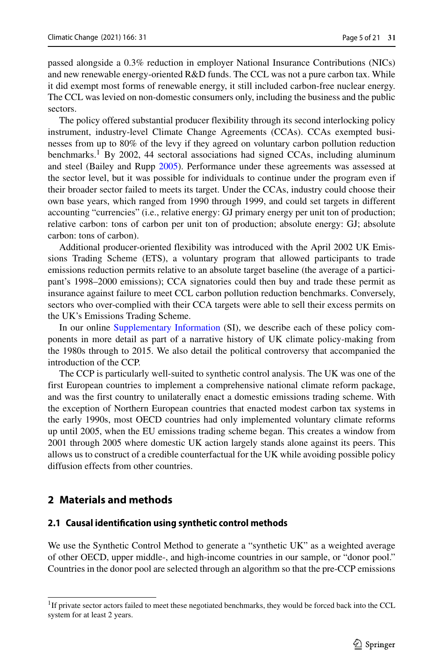passed alongside a 0.3% reduction in employer National Insurance Contributions (NICs) and new renewable energy-oriented R&D funds. The CCL was not a pure carbon tax. While it did exempt most forms of renewable energy, it still included carbon-free nuclear energy. The CCL was levied on non-domestic consumers only, including the business and the public sectors.

The policy offered substantial producer flexibility through its second interlocking policy instrument, industry-level Climate Change Agreements (CCAs). CCAs exempted businesses from up to 80% of the levy if they agreed on voluntary carbon pollution reduction benchmarks.<sup>[1](#page-4-0)</sup> By 2002, 44 sectoral associations had signed CCAs, including aluminum and steel (Bailey and Rupp [2005\)](#page-19-23). Performance under these agreements was assessed at the sector level, but it was possible for individuals to continue under the program even if their broader sector failed to meets its target. Under the CCAs, industry could choose their own base years, which ranged from 1990 through 1999, and could set targets in different accounting "currencies" (i.e., relative energy: GJ primary energy per unit ton of production; relative carbon: tons of carbon per unit ton of production; absolute energy: GJ; absolute carbon: tons of carbon).

Additional producer-oriented flexibility was introduced with the April 2002 UK Emissions Trading Scheme (ETS), a voluntary program that allowed participants to trade emissions reduction permits relative to an absolute target baseline (the average of a participant's 1998–2000 emissions); CCA signatories could then buy and trade these permit as insurance against failure to meet CCL carbon pollution reduction benchmarks. Conversely, sectors who over-complied with their CCA targets were able to sell their excess permits on the UK's Emissions Trading Scheme.

In our online Supplementary Information (SI), we describe each of these policy components in more detail as part of a narrative history of UK climate policy-making from the 1980s through to 2015. We also detail the political controversy that accompanied the introduction of the CCP.

The CCP is particularly well-suited to synthetic control analysis. The UK was one of the first European countries to implement a comprehensive national climate reform package, and was the first country to unilaterally enact a domestic emissions trading scheme. With the exception of Northern European countries that enacted modest carbon tax systems in the early 1990s, most OECD countries had only implemented voluntary climate reforms up until 2005, when the EU emissions trading scheme began. This creates a window from 2001 through 2005 where domestic UK action largely stands alone against its peers. This allows us to construct of a credible counterfactual for the UK while avoiding possible policy diffusion effects from other countries.

## **2 Materials and methods**

## **2.1 Causal identification using synthetic control methods**

We use the Synthetic Control Method to generate a "synthetic UK" as a weighted average of other OECD, upper middle-, and high-income countries in our sample, or "donor pool." Countries in the donor pool are selected through an algorithm so that the pre-CCP emissions

<span id="page-4-0"></span><sup>&</sup>lt;sup>1</sup>If private sector actors failed to meet these negotiated benchmarks, they would be forced back into the CCL system for at least 2 years.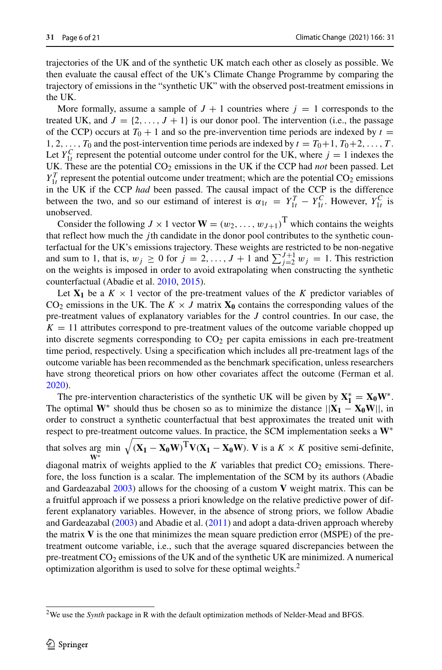trajectories of the UK and of the synthetic UK match each other as closely as possible. We then evaluate the causal effect of the UK's Climate Change Programme by comparing the trajectory of emissions in the "synthetic UK" with the observed post-treatment emissions in the UK.

More formally, assume a sample of  $J + 1$  countries where  $j = 1$  corresponds to the treated UK, and  $J = \{2, \ldots, J + 1\}$  is our donor pool. The intervention (i.e., the passage of the CCP) occurs at  $T_0 + 1$  and so the pre-invervention time periods are indexed by  $t =$ 1, 2,  $\dots$ ,  $T_0$  and the post-intervention time periods are indexed by  $t = T_0 + 1, T_0 + 2, \dots, T$ . Let  $Y_{1t}^C$  represent the potential outcome under control for the UK, where  $j = 1$  indexes the UK. These are the potential  $CO_2$  emissions in the UK if the CCP had *not* been passed. Let  $Y_{1t}^T$  represent the potential outcome under treatment; which are the potential CO<sub>2</sub> emissions in the UK if the CCP *had* been passed. The causal impact of the CCP is the difference between the two, and so our estimand of interest is  $\alpha_{1t} = Y_{1t}^T - Y_{1t}^C$ . However,  $Y_{1t}^C$  is unobserved.

Consider the following  $J \times 1$  vector  $\mathbf{W} = (w_2, \dots, w_{J+1})^T$  which contains the weights that reflect how much the *j* th candidate in the donor pool contributes to the synthetic counterfactual for the UK's emissions trajectory. These weights are restricted to be non-negative and sum to 1, that is,  $w_j \ge 0$  for  $j = 2, ..., J + 1$  and  $\sum_{j=2}^{J+1} w_j = 1$ . This restriction on the weights is imposed in order to avoid extrapolating when constructing the synthetic counterfactual (Abadie et al. [2010,](#page-18-1) [2015\)](#page-18-3).

Let  $X_1$  be a  $K \times 1$  vector of the pre-treatment values of the *K* predictor variables of CO<sub>2</sub> emissions in the UK. The  $K \times J$  matrix  $X_0$  contains the corresponding values of the pre-treatment values of explanatory variables for the *J* control countries. In our case, the  $K = 11$  attributes correspond to pre-treatment values of the outcome variable chopped up into discrete segments corresponding to  $CO<sub>2</sub>$  per capita emissions in each pre-treatment time period, respectively. Using a specification which includes all pre-treatment lags of the outcome variable has been recommended as the benchmark specification, unless researchers have strong theoretical priors on how other covariates affect the outcome (Ferman et al. [2020\)](#page-19-24).

The pre-intervention characteristics of the synthetic UK will be given by  $X_1^* = X_0 W^*$ . The optimal  $W^*$  should thus be chosen so as to minimize the distance  $||X_1 - X_0W||$ , in order to construct a synthetic counterfactual that best approximates the treated unit with respect to pre-treatment outcome values. In practice, the SCM implementation seeks a **W**∗ that solves arg min  $\sqrt{(X_1 - X_0 W)^T V(X_1 - X_0 W)}$ . **V** is a  $K \times K$  positive semi-definite, diagonal matrix of weights applied to the *K* variables that predict  $CO_2$  emissions. Therefore, the loss function is a scalar. The implementation of the SCM by its authors (Abadie and Gardeazabal [2003\)](#page-18-0) allows for the choosing of a custom **V** weight matrix. This can be a fruitful approach if we possess a priori knowledge on the relative predictive power of different explanatory variables. However, in the absence of strong priors, we follow Abadie and Gardeazabal [\(2003\)](#page-18-0) and Abadie et al. [\(2011\)](#page-18-2) and adopt a data-driven approach whereby the matrix **V** is the one that minimizes the mean square prediction error (MSPE) of the pretreatment outcome variable, i.e., such that the average squared discrepancies between the pre-treatment CO<sub>2</sub> emissions of the UK and of the synthetic UK are minimized. A numerical optimization algorithm is used to solve for these optimal weights[.2](#page-5-0)

<span id="page-5-0"></span><sup>&</sup>lt;sup>2</sup>We use the *Synth* package in R with the default optimization methods of Nelder-Mead and BFGS.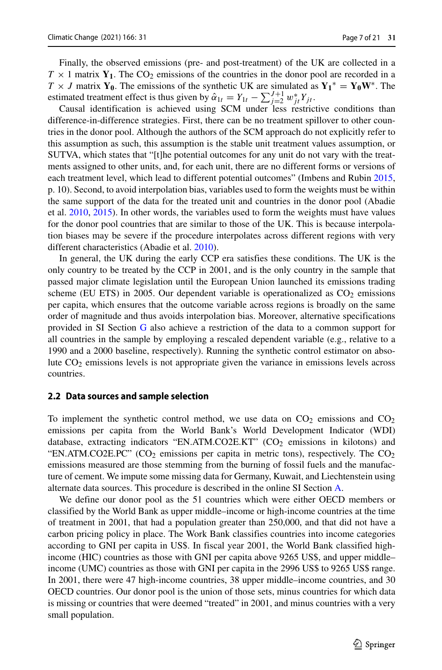Finally, the observed emissions (pre- and post-treatment) of the UK are collected in a  $T \times 1$  matrix  $Y_1$ . The CO<sub>2</sub> emissions of the countries in the donor pool are recorded in a  $T \times J$  matrix **Y**<sub>0</sub>. The emissions of the synthetic UK are simulated as  $Y_1^* = Y_0 W^*$ . The estimated treatment effect is thus given by  $\hat{\alpha}_{1t} = Y_{1t} - \sum_{j=2}^{J+1} w_{jt}^* Y_{jt}$ .

Causal identification is achieved using SCM under less restrictive conditions than difference-in-difference strategies. First, there can be no treatment spillover to other countries in the donor pool. Although the authors of the SCM approach do not explicitly refer to this assumption as such, this assumption is the stable unit treatment values assumption, or SUTVA, which states that "[t]he potential outcomes for any unit do not vary with the treatments assigned to other units, and, for each unit, there are no different forms or versions of each treatment level, which lead to different potential outcomes" (Imbens and Rubin [2015,](#page-19-25) p. 10). Second, to avoid interpolation bias, variables used to form the weights must be within the same support of the data for the treated unit and countries in the donor pool (Abadie et al. [2010,](#page-18-1) [2015\)](#page-18-3). In other words, the variables used to form the weights must have values for the donor pool countries that are similar to those of the UK. This is because interpolation biases may be severe if the procedure interpolates across different regions with very different characteristics (Abadie et al. [2010\)](#page-18-1).

In general, the UK during the early CCP era satisfies these conditions. The UK is the only country to be treated by the CCP in 2001, and is the only country in the sample that passed major climate legislation until the European Union launched its emissions trading scheme (EU ETS) in 2005. Our dependent variable is operationalized as  $CO<sub>2</sub>$  emissions per capita, which ensures that the outcome variable across regions is broadly on the same order of magnitude and thus avoids interpolation bias. Moreover, alternative specifications provided in SI Section G also achieve a restriction of the data to a common support for all countries in the sample by employing a rescaled dependent variable (e.g., relative to a 1990 and a 2000 baseline, respectively). Running the synthetic control estimator on absolute CO2 emissions levels is not appropriate given the variance in emissions levels across countries.

#### **2.2 Data sources and sample selection**

To implement the synthetic control method, we use data on  $CO<sub>2</sub>$  emissions and  $CO<sub>2</sub>$ emissions per capita from the World Bank's World Development Indicator (WDI) database, extracting indicators "EN.ATM.CO2E.KT"  $(CO<sub>2</sub>$  emissions in kilotons) and "EN.ATM.CO2E.PC" (CO<sub>2</sub> emissions per capita in metric tons), respectively. The CO<sub>2</sub> emissions measured are those stemming from the burning of fossil fuels and the manufacture of cement. We impute some missing data for Germany, Kuwait, and Liechtenstein using alternate data sources. This procedure is described in the online SI Section A.

We define our donor pool as the 51 countries which were either OECD members or classified by the World Bank as upper middle–income or high-income countries at the time of treatment in 2001, that had a population greater than 250,000, and that did not have a carbon pricing policy in place. The Work Bank classifies countries into income categories according to GNI per capita in US\$. In fiscal year 2001, the World Bank classified highincome (HIC) countries as those with GNI per capita above 9265 US\$, and upper middle– income (UMC) countries as those with GNI per capita in the 2996 US\$ to 9265 US\$ range. In 2001, there were 47 high-income countries, 38 upper middle–income countries, and 30 OECD countries. Our donor pool is the union of those sets, minus countries for which data is missing or countries that were deemed "treated" in 2001, and minus countries with a very small population.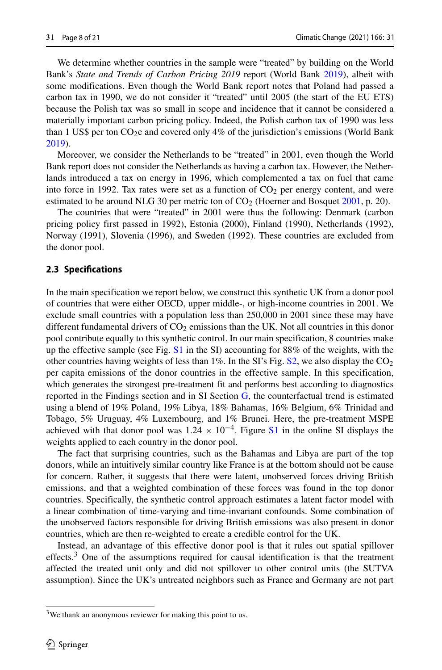We determine whether countries in the sample were "treated" by building on the World Bank's *State and Trends of Carbon Pricing 2019* report (World Bank [2019\)](#page-20-5), albeit with some modifications. Even though the World Bank report notes that Poland had passed a carbon tax in 1990, we do not consider it "treated" until 2005 (the start of the EU ETS) because the Polish tax was so small in scope and incidence that it cannot be considered a materially important carbon pricing policy. Indeed, the Polish carbon tax of 1990 was less than 1 US\$ per ton  $CO<sub>2</sub>e$  and covered only 4% of the jurisdiction's emissions (World Bank [2019\)](#page-20-5).

Moreover, we consider the Netherlands to be "treated" in 2001, even though the World Bank report does not consider the Netherlands as having a carbon tax. However, the Netherlands introduced a tax on energy in 1996, which complemented a tax on fuel that came into force in 1992. Tax rates were set as a function of  $CO<sub>2</sub>$  per energy content, and were estimated to be around NLG 30 per metric ton of  $CO<sub>2</sub>$  (Hoerner and Bosquet [2001,](#page-19-26) p. 20).

The countries that were "treated" in 2001 were thus the following: Denmark (carbon pricing policy first passed in 1992), Estonia (2000), Finland (1990), Netherlands (1992), Norway (1991), Slovenia (1996), and Sweden (1992). These countries are excluded from the donor pool.

#### **2.3 Specifications**

In the main specification we report below, we construct this synthetic UK from a donor pool of countries that were either OECD, upper middle-, or high-income countries in 2001. We exclude small countries with a population less than 250,000 in 2001 since these may have different fundamental drivers of  $CO<sub>2</sub>$  emissions than the UK. Not all countries in this donor pool contribute equally to this synthetic control. In our main specification, 8 countries make up the effective sample (see Fig.  $S1$  in the SI) accounting for 88% of the weights, with the other countries having weights of less than  $1\%$ . In the SI's Fig. S2, we also display the CO<sub>2</sub> per capita emissions of the donor countries in the effective sample. In this specification, which generates the strongest pre-treatment fit and performs best according to diagnostics reported in the Findings section and in SI Section G, the counterfactual trend is estimated using a blend of 19% Poland, 19% Libya, 18% Bahamas, 16% Belgium, 6% Trinidad and Tobago, 5% Uruguay, 4% Luxembourg, and 1% Brunei. Here, the pre-treatment MSPE achieved with that donor pool was  $1.24 \times 10^{-4}$ . Figure S1 in the online SI displays the weights applied to each country in the donor pool.

The fact that surprising countries, such as the Bahamas and Libya are part of the top donors, while an intuitively similar country like France is at the bottom should not be cause for concern. Rather, it suggests that there were latent, unobserved forces driving British emissions, and that a weighted combination of these forces was found in the top donor countries. Specifically, the synthetic control approach estimates a latent factor model with a linear combination of time-varying and time-invariant confounds. Some combination of the unobserved factors responsible for driving British emissions was also present in donor countries, which are then re-weighted to create a credible control for the UK.

Instead, an advantage of this effective donor pool is that it rules out spatial spillover effects.<sup>[3](#page-7-0)</sup> One of the assumptions required for causal identification is that the treatment affected the treated unit only and did not spillover to other control units (the SUTVA assumption). Since the UK's untreated neighbors such as France and Germany are not part

<span id="page-7-0"></span><sup>&</sup>lt;sup>3</sup>We thank an anonymous reviewer for making this point to us.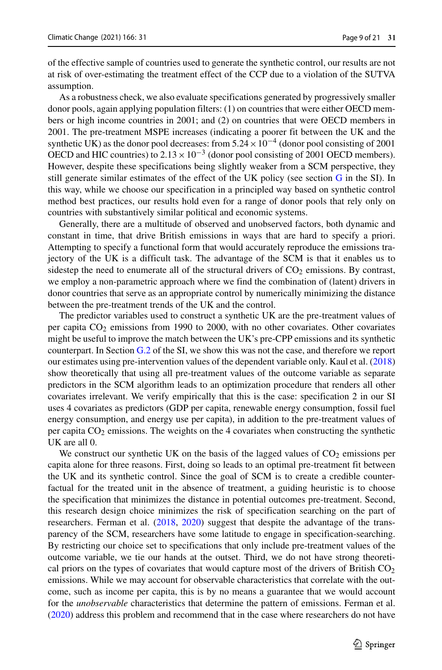of the effective sample of countries used to generate the synthetic control, our results are not at risk of over-estimating the treatment effect of the CCP due to a violation of the SUTVA assumption.

As a robustness check, we also evaluate specifications generated by progressively smaller donor pools, again applying population filters: (1) on countries that were either OECD members or high income countries in 2001; and (2) on countries that were OECD members in 2001. The pre-treatment MSPE increases (indicating a poorer fit between the UK and the synthetic UK) as the donor pool decreases: from  $5.24 \times 10^{-4}$  (donor pool consisting of 2001 OECD and HIC countries) to  $2.13 \times 10^{-3}$  (donor pool consisting of 2001 OECD members). However, despite these specifications being slightly weaker from a SCM perspective, they still generate similar estimates of the effect of the UK policy (see section G in the SI). In this way, while we choose our specification in a principled way based on synthetic control method best practices, our results hold even for a range of donor pools that rely only on countries with substantively similar political and economic systems.

Generally, there are a multitude of observed and unobserved factors, both dynamic and constant in time, that drive British emissions in ways that are hard to specify a priori. Attempting to specify a functional form that would accurately reproduce the emissions trajectory of the UK is a difficult task. The advantage of the SCM is that it enables us to sidestep the need to enumerate all of the structural drivers of  $CO<sub>2</sub>$  emissions. By contrast, we employ a non-parametric approach where we find the combination of (latent) drivers in donor countries that serve as an appropriate control by numerically minimizing the distance between the pre-treatment trends of the UK and the control.

The predictor variables used to construct a synthetic UK are the pre-treatment values of per capita CO2 emissions from 1990 to 2000, with no other covariates. Other covariates might be useful to improve the match between the UK's pre-CPP emissions and its synthetic counterpart. In Section G.2 of the SI, we show this was not the case, and therefore we report our estimates using pre-intervention values of the dependent variable only. Kaul et al. [\(2018\)](#page-19-27) show theoretically that using all pre-treatment values of the outcome variable as separate predictors in the SCM algorithm leads to an optimization procedure that renders all other covariates irrelevant. We verify empirically that this is the case: specification 2 in our SI uses 4 covariates as predictors (GDP per capita, renewable energy consumption, fossil fuel energy consumption, and energy use per capita), in addition to the pre-treatment values of per capita  $CO<sub>2</sub>$  emissions. The weights on the 4 covariates when constructing the synthetic UK are all 0.

We construct our synthetic UK on the basis of the lagged values of  $CO<sub>2</sub>$  emissions per capita alone for three reasons. First, doing so leads to an optimal pre-treatment fit between the UK and its synthetic control. Since the goal of SCM is to create a credible counterfactual for the treated unit in the absence of treatment, a guiding heuristic is to choose the specification that minimizes the distance in potential outcomes pre-treatment. Second, this research design choice minimizes the risk of specification searching on the part of researchers. Ferman et al. [\(2018,](#page-19-28) [2020\)](#page-19-24) suggest that despite the advantage of the transparency of the SCM, researchers have some latitude to engage in specification-searching. By restricting our choice set to specifications that only include pre-treatment values of the outcome variable, we tie our hands at the outset. Third, we do not have strong theoretical priors on the types of covariates that would capture most of the drivers of British  $CO<sub>2</sub>$ emissions. While we may account for observable characteristics that correlate with the outcome, such as income per capita, this is by no means a guarantee that we would account for the *unobservable* characteristics that determine the pattern of emissions. Ferman et al. [\(2020\)](#page-19-24) address this problem and recommend that in the case where researchers do not have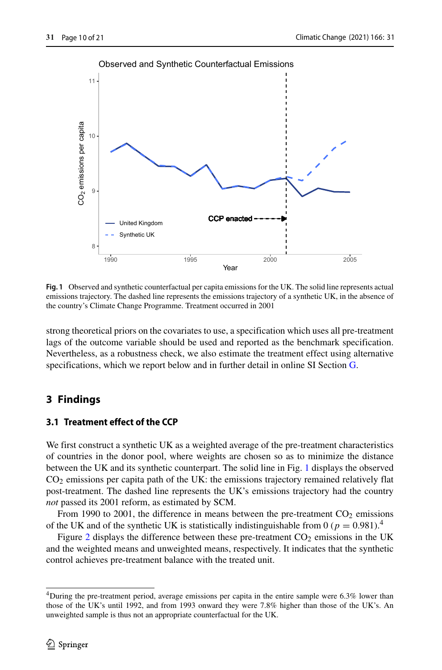<span id="page-9-0"></span>

Observed and Synthetic Counterfactual Emissions

**Fig. 1** Observed and synthetic counterfactual per capita emissions for the UK. The solid line represents actual emissions trajectory. The dashed line represents the emissions trajectory of a synthetic UK, in the absence of the country's Climate Change Programme. Treatment occurred in 2001

strong theoretical priors on the covariates to use, a specification which uses all pre-treatment lags of the outcome variable should be used and reported as the benchmark specification. Nevertheless, as a robustness check, we also estimate the treatment effect using alternative specifications, which we report below and in further detail in online SI Section G.

## **3 Findings**

## **3.1 Treatment effect of the CCP**

We first construct a synthetic UK as a weighted average of the pre-treatment characteristics of countries in the donor pool, where weights are chosen so as to minimize the distance between the UK and its synthetic counterpart. The solid line in Fig. [1](#page-9-0) displays the observed CO2 emissions per capita path of the UK: the emissions trajectory remained relatively flat post-treatment. The dashed line represents the UK's emissions trajectory had the country *not* passed its 2001 reform, as estimated by SCM.

From 1990 to 2001, the difference in means between the pre-treatment  $CO<sub>2</sub>$  emissions of the UK and of the synthetic UK is statistically indistinguishable from 0 ( $p = 0.981$ ).<sup>[4](#page-9-1)</sup>

Figure [2](#page-10-0) displays the difference between these pre-treatment  $CO<sub>2</sub>$  emissions in the UK and the weighted means and unweighted means, respectively. It indicates that the synthetic control achieves pre-treatment balance with the treated unit.

<span id="page-9-1"></span><sup>&</sup>lt;sup>4</sup>During the pre-treatment period, average emissions per capita in the entire sample were 6.3% lower than those of the UK's until 1992, and from 1993 onward they were 7.8% higher than those of the UK's. An unweighted sample is thus not an appropriate counterfactual for the UK.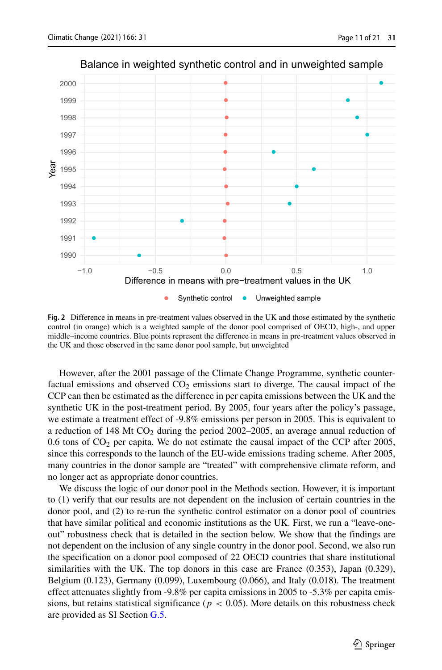<span id="page-10-0"></span>

Balance in weighted synthetic control and in unweighted sample

**Fig. 2** Difference in means in pre-treatment values observed in the UK and those estimated by the synthetic control (in orange) which is a weighted sample of the donor pool comprised of OECD, high-, and upper middle–income countries. Blue points represent the difference in means in pre-treatment values observed in the UK and those observed in the same donor pool sample, but unweighted

However, after the 2001 passage of the Climate Change Programme, synthetic counterfactual emissions and observed  $CO<sub>2</sub>$  emissions start to diverge. The causal impact of the CCP can then be estimated as the difference in per capita emissions between the UK and the synthetic UK in the post-treatment period. By 2005, four years after the policy's passage, we estimate a treatment effect of -9.8% emissions per person in 2005. This is equivalent to a reduction of  $148$  Mt CO<sub>2</sub> during the period 2002–2005, an average annual reduction of 0.6 tons of  $CO<sub>2</sub>$  per capita. We do not estimate the causal impact of the CCP after 2005, since this corresponds to the launch of the EU-wide emissions trading scheme. After 2005, many countries in the donor sample are "treated" with comprehensive climate reform, and no longer act as appropriate donor countries.

We discuss the logic of our donor pool in the Methods section. However, it is important to (1) verify that our results are not dependent on the inclusion of certain countries in the donor pool, and (2) to re-run the synthetic control estimator on a donor pool of countries that have similar political and economic institutions as the UK. First, we run a "leave-oneout" robustness check that is detailed in the section below. We show that the findings are not dependent on the inclusion of any single country in the donor pool. Second, we also run the specification on a donor pool composed of 22 OECD countries that share institutional similarities with the UK. The top donors in this case are France (0.353), Japan (0.329), Belgium (0.123), Germany (0.099), Luxembourg (0.066), and Italy (0.018). The treatment effect attenuates slightly from -9.8% per capita emissions in 2005 to -5.3% per capita emissions, but retains statistical significance ( $p < 0.05$ ). More details on this robustness check are provided as SI Section G.5.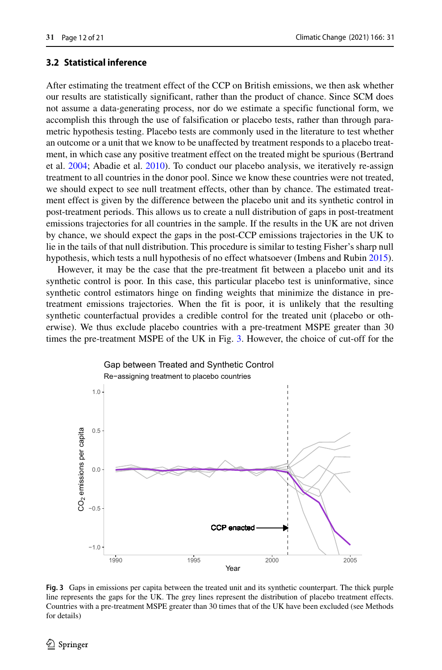## **3.2 Statistical inference**

After estimating the treatment effect of the CCP on British emissions, we then ask whether our results are statistically significant, rather than the product of chance. Since SCM does not assume a data-generating process, nor do we estimate a specific functional form, we accomplish this through the use of falsification or placebo tests, rather than through parametric hypothesis testing. Placebo tests are commonly used in the literature to test whether an outcome or a unit that we know to be unaffected by treatment responds to a placebo treatment, in which case any positive treatment effect on the treated might be spurious (Bertrand et al. [2004;](#page-19-29) Abadie et al. [2010\)](#page-18-1). To conduct our placebo analysis, we iteratively re-assign treatment to all countries in the donor pool. Since we know these countries were not treated, we should expect to see null treatment effects, other than by chance. The estimated treatment effect is given by the difference between the placebo unit and its synthetic control in post-treatment periods. This allows us to create a null distribution of gaps in post-treatment emissions trajectories for all countries in the sample. If the results in the UK are not driven by chance, we should expect the gaps in the post-CCP emissions trajectories in the UK to lie in the tails of that null distribution. This procedure is similar to testing Fisher's sharp null hypothesis, which tests a null hypothesis of no effect whatsoever (Imbens and Rubin [2015\)](#page-19-25).

However, it may be the case that the pre-treatment fit between a placebo unit and its synthetic control is poor. In this case, this particular placebo test is uninformative, since synthetic control estimators hinge on finding weights that minimize the distance in pretreatment emissions trajectories. When the fit is poor, it is unlikely that the resulting synthetic counterfactual provides a credible control for the treated unit (placebo or otherwise). We thus exclude placebo countries with a pre-treatment MSPE greater than 30 times the pre-treatment MSPE of the UK in Fig. [3.](#page-11-0) However, the choice of cut-off for the

<span id="page-11-0"></span>

**Fig. 3** Gaps in emissions per capita between the treated unit and its synthetic counterpart. The thick purple line represents the gaps for the UK. The grey lines represent the distribution of placebo treatment effects. Countries with a pre-treatment MSPE greater than 30 times that of the UK have been excluded (see Methods for details)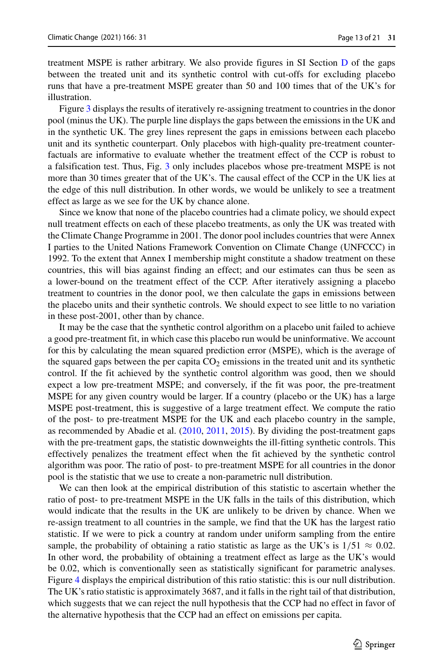treatment MSPE is rather arbitrary. We also provide figures in SI Section D of the gaps between the treated unit and its synthetic control with cut-offs for excluding placebo runs that have a pre-treatment MSPE greater than 50 and 100 times that of the UK's for illustration.

Figure [3](#page-11-0) displays the results of iteratively re-assigning treatment to countries in the donor pool (minus the UK). The purple line displays the gaps between the emissions in the UK and in the synthetic UK. The grey lines represent the gaps in emissions between each placebo unit and its synthetic counterpart. Only placebos with high-quality pre-treatment counterfactuals are informative to evaluate whether the treatment effect of the CCP is robust to a falsification test. Thus, Fig. [3](#page-11-0) only includes placebos whose pre-treatment MSPE is not more than 30 times greater that of the UK's. The causal effect of the CCP in the UK lies at the edge of this null distribution. In other words, we would be unlikely to see a treatment effect as large as we see for the UK by chance alone.

Since we know that none of the placebo countries had a climate policy, we should expect null treatment effects on each of these placebo treatments, as only the UK was treated with the Climate Change Programme in 2001. The donor pool includes countries that were Annex I parties to the United Nations Framework Convention on Climate Change (UNFCCC) in 1992. To the extent that Annex I membership might constitute a shadow treatment on these countries, this will bias against finding an effect; and our estimates can thus be seen as a lower-bound on the treatment effect of the CCP. After iteratively assigning a placebo treatment to countries in the donor pool, we then calculate the gaps in emissions between the placebo units and their synthetic controls. We should expect to see little to no variation in these post-2001, other than by chance.

It may be the case that the synthetic control algorithm on a placebo unit failed to achieve a good pre-treatment fit, in which case this placebo run would be uninformative. We account for this by calculating the mean squared prediction error (MSPE), which is the average of the squared gaps between the per capita  $CO<sub>2</sub>$  emissions in the treated unit and its synthetic control. If the fit achieved by the synthetic control algorithm was good, then we should expect a low pre-treatment MSPE; and conversely, if the fit was poor, the pre-treatment MSPE for any given country would be larger. If a country (placebo or the UK) has a large MSPE post-treatment, this is suggestive of a large treatment effect. We compute the ratio of the post- to pre-treatment MSPE for the UK and each placebo country in the sample, as recommended by Abadie et al. [\(2010,](#page-18-1) [2011,](#page-18-2) [2015\)](#page-18-3). By dividing the post-treatment gaps with the pre-treatment gaps, the statistic downweights the ill-fitting synthetic controls. This effectively penalizes the treatment effect when the fit achieved by the synthetic control algorithm was poor. The ratio of post- to pre-treatment MSPE for all countries in the donor pool is the statistic that we use to create a non-parametric null distribution.

We can then look at the empirical distribution of this statistic to ascertain whether the ratio of post- to pre-treatment MSPE in the UK falls in the tails of this distribution, which would indicate that the results in the UK are unlikely to be driven by chance. When we re-assign treatment to all countries in the sample, we find that the UK has the largest ratio statistic. If we were to pick a country at random under uniform sampling from the entire sample, the probability of obtaining a ratio statistic as large as the UK's is  $1/51 \approx 0.02$ . In other word, the probability of obtaining a treatment effect as large as the UK's would be 0.02, which is conventionally seen as statistically significant for parametric analyses. Figure [4](#page-13-0) displays the empirical distribution of this ratio statistic: this is our null distribution. The UK's ratio statistic is approximately 3687, and it falls in the right tail of that distribution, which suggests that we can reject the null hypothesis that the CCP had no effect in favor of the alternative hypothesis that the CCP had an effect on emissions per capita.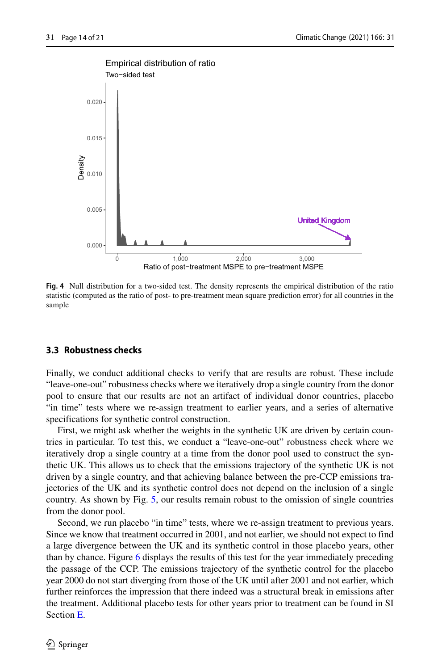<span id="page-13-0"></span>

**Fig. 4** Null distribution for a two-sided test. The density represents the empirical distribution of the ratio statistic (computed as the ratio of post- to pre-treatment mean square prediction error) for all countries in the sample

#### **3.3 Robustness checks**

Finally, we conduct additional checks to verify that are results are robust. These include "leave-one-out" robustness checks where we iteratively drop a single country from the donor pool to ensure that our results are not an artifact of individual donor countries, placebo "in time" tests where we re-assign treatment to earlier years, and a series of alternative specifications for synthetic control construction.

First, we might ask whether the weights in the synthetic UK are driven by certain countries in particular. To test this, we conduct a "leave-one-out" robustness check where we iteratively drop a single country at a time from the donor pool used to construct the synthetic UK. This allows us to check that the emissions trajectory of the synthetic UK is not driven by a single country, and that achieving balance between the pre-CCP emissions trajectories of the UK and its synthetic control does not depend on the inclusion of a single country. As shown by Fig. [5,](#page-14-0) our results remain robust to the omission of single countries from the donor pool.

Second, we run placebo "in time" tests, where we re-assign treatment to previous years. Since we know that treatment occurred in 2001, and not earlier, we should not expect to find a large divergence between the UK and its synthetic control in those placebo years, other than by chance. Figure [6](#page-14-1) displays the results of this test for the year immediately preceding the passage of the CCP. The emissions trajectory of the synthetic control for the placebo year 2000 do not start diverging from those of the UK until after 2001 and not earlier, which further reinforces the impression that there indeed was a structural break in emissions after the treatment. Additional placebo tests for other years prior to treatment can be found in SI Section E.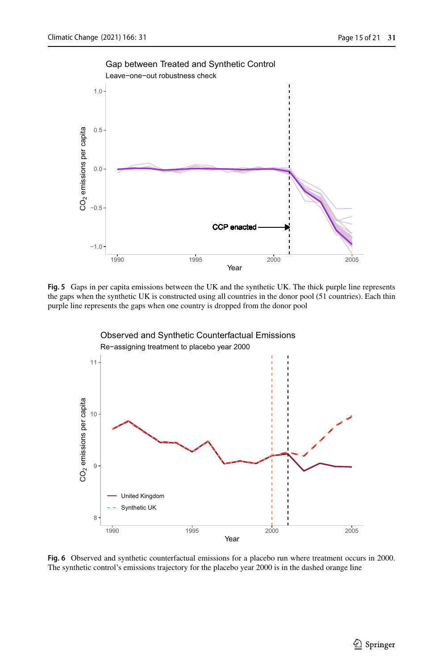<span id="page-14-0"></span>

**Fig. 5** Gaps in per capita emissions between the UK and the synthetic UK. The thick purple line represents the gaps when the synthetic UK is constructed using all countries in the donor pool (51 countries). Each thin purple line represents the gaps when one country is dropped from the donor pool

<span id="page-14-1"></span>

**Fig. 6** Observed and synthetic counterfactual emissions for a placebo run where treatment occurs in 2000. The synthetic control's emissions trajectory for the placebo year 2000 is in the dashed orange line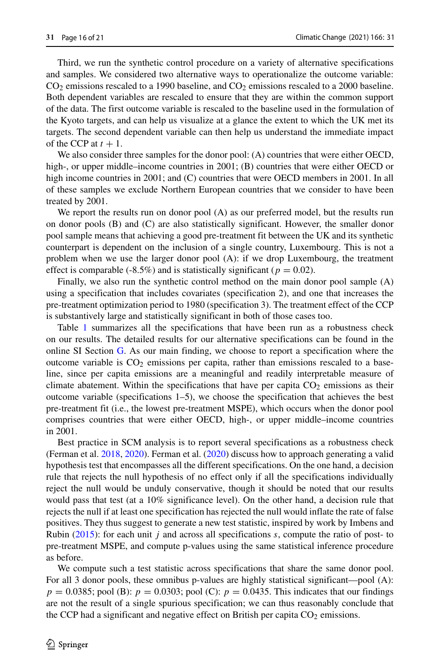Third, we run the synthetic control procedure on a variety of alternative specifications and samples. We considered two alternative ways to operationalize the outcome variable:  $CO<sub>2</sub>$  emissions rescaled to a 1990 baseline, and  $CO<sub>2</sub>$  emissions rescaled to a 2000 baseline. Both dependent variables are rescaled to ensure that they are within the common support of the data. The first outcome variable is rescaled to the baseline used in the formulation of the Kyoto targets, and can help us visualize at a glance the extent to which the UK met its targets. The second dependent variable can then help us understand the immediate impact of the CCP at  $t + 1$ .

We also consider three samples for the donor pool: (A) countries that were either OECD, high-, or upper middle–income countries in 2001; (B) countries that were either OECD or high income countries in 2001; and (C) countries that were OECD members in 2001. In all of these samples we exclude Northern European countries that we consider to have been treated by 2001.

We report the results run on donor pool (A) as our preferred model, but the results run on donor pools (B) and (C) are also statistically significant. However, the smaller donor pool sample means that achieving a good pre-treatment fit between the UK and its synthetic counterpart is dependent on the inclusion of a single country, Luxembourg. This is not a problem when we use the larger donor pool (A): if we drop Luxembourg, the treatment effect is comparable (-8.5%) and is statistically significant ( $p = 0.02$ ).

Finally, we also run the synthetic control method on the main donor pool sample (A) using a specification that includes covariates (specification 2), and one that increases the pre-treatment optimization period to 1980 (specification 3). The treatment effect of the CCP is substantively large and statistically significant in both of those cases too.

Table [1](#page-16-0) summarizes all the specifications that have been run as a robustness check on our results. The detailed results for our alternative specifications can be found in the online SI Section G. As our main finding, we choose to report a specification where the outcome variable is  $CO<sub>2</sub>$  emissions per capita, rather than emissions rescaled to a baseline, since per capita emissions are a meaningful and readily interpretable measure of climate abatement. Within the specifications that have per capita  $CO<sub>2</sub>$  emissions as their outcome variable (specifications 1–5), we choose the specification that achieves the best pre-treatment fit (i.e., the lowest pre-treatment MSPE), which occurs when the donor pool comprises countries that were either OECD, high-, or upper middle–income countries in 2001.

Best practice in SCM analysis is to report several specifications as a robustness check (Ferman et al. [2018,](#page-19-28) [2020\)](#page-19-24). Ferman et al. [\(2020\)](#page-19-24) discuss how to approach generating a valid hypothesis test that encompasses all the different specifications. On the one hand, a decision rule that rejects the null hypothesis of no effect only if all the specifications individually reject the null would be unduly conservative, though it should be noted that our results would pass that test (at a 10% significance level). On the other hand, a decision rule that rejects the null if at least one specification has rejected the null would inflate the rate of false positives. They thus suggest to generate a new test statistic, inspired by work by Imbens and Rubin [\(2015\)](#page-19-25): for each unit *j* and across all specifications *s*, compute the ratio of post- to pre-treatment MSPE, and compute p-values using the same statistical inference procedure as before.

We compute such a test statistic across specifications that share the same donor pool. For all 3 donor pools, these omnibus p-values are highly statistical significant—pool (A):  $p = 0.0385$ ; pool (B):  $p = 0.0303$ ; pool (C):  $p = 0.0435$ . This indicates that our findings are not the result of a single spurious specification; we can thus reasonably conclude that the CCP had a significant and negative effect on British per capita  $CO<sub>2</sub>$  emissions.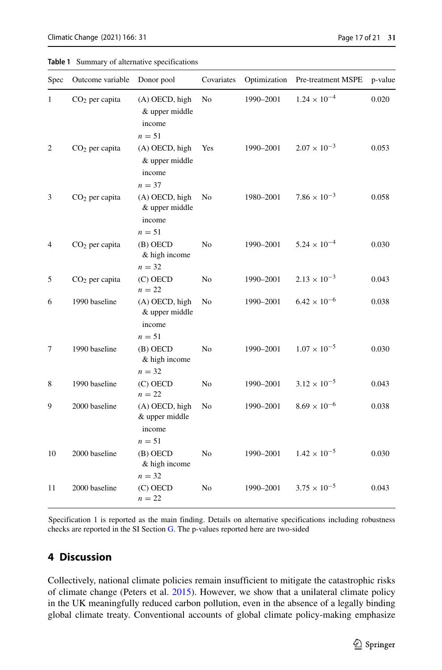<span id="page-16-0"></span>

|  |  |  | <b>Table 1</b> Summary of alternative specifications |
|--|--|--|------------------------------------------------------|
|--|--|--|------------------------------------------------------|

| Spec         | Outcome variable | Donor pool                                             | Covariates     | Optimization | Pre-treatment MSPE    | p-value |
|--------------|------------------|--------------------------------------------------------|----------------|--------------|-----------------------|---------|
| $\mathbf{1}$ | $CO2$ per capita | (A) OECD, high<br>& upper middle<br>income<br>$n = 51$ | N <sub>0</sub> | 1990-2001    | $1.24 \times 10^{-4}$ | 0.020   |
| 2            | $CO2$ per capita | (A) OECD, high<br>& upper middle<br>income<br>$n = 37$ | Yes            | 1990-2001    | $2.07 \times 10^{-3}$ | 0.053   |
| 3            | $CO2$ per capita | (A) OECD, high<br>& upper middle<br>income<br>$n = 51$ | No             | 1980-2001    | $7.86 \times 10^{-3}$ | 0.058   |
| 4            | $CO2$ per capita | $(B)$ OECD<br>& high income<br>$n = 32$                | N <sub>0</sub> | 1990-2001    | $5.24 \times 10^{-4}$ | 0.030   |
| 5            | $CO2$ per capita | $(C)$ OECD<br>$n = 22$                                 | No             | 1990-2001    | $2.13 \times 10^{-3}$ | 0.043   |
| 6            | 1990 baseline    | (A) OECD, high<br>& upper middle<br>income<br>$n = 51$ | N <sub>0</sub> | 1990-2001    | $6.42 \times 10^{-6}$ | 0.038   |
| 7            | 1990 baseline    | $(B)$ OECD<br>& high income<br>$n = 32$                | N <sub>o</sub> | 1990-2001    | $1.07 \times 10^{-5}$ | 0.030   |
| 8            | 1990 baseline    | $(C)$ OECD<br>$n = 22$                                 | No             | 1990-2001    | $3.12 \times 10^{-5}$ | 0.043   |
| 9            | 2000 baseline    | (A) OECD, high<br>& upper middle<br>income<br>$n=51$   | No             | 1990-2001    | $8.69\times10^{-6}$   | 0.038   |
| 10           | 2000 baseline    | $(B)$ OECD<br>& high income<br>$n = 32$                | N <sub>o</sub> | 1990-2001    | $1.42 \times 10^{-5}$ | 0.030   |
| 11           | 2000 baseline    | $(C)$ OECD<br>$n=22$                                   | N <sub>0</sub> | 1990-2001    | $3.75 \times 10^{-5}$ | 0.043   |

Specification 1 is reported as the main finding. Details on alternative specifications including robustness checks are reported in the SI Section G. The p-values reported here are two-sided

## **4 Discussion**

Collectively, national climate policies remain insufficient to mitigate the catastrophic risks of climate change (Peters et al. [2015\)](#page-19-30). However, we show that a unilateral climate policy in the UK meaningfully reduced carbon pollution, even in the absence of a legally binding global climate treaty. Conventional accounts of global climate policy-making emphasize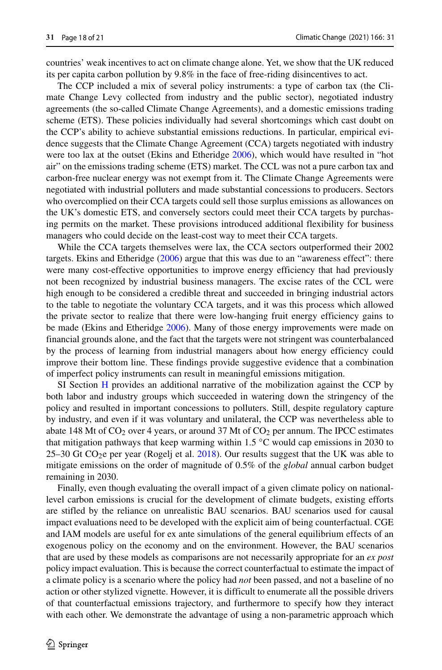countries' weak incentives to act on climate change alone. Yet, we show that the UK reduced its per capita carbon pollution by 9.8% in the face of free-riding disincentives to act.

The CCP included a mix of several policy instruments: a type of carbon tax (the Climate Change Levy collected from industry and the public sector), negotiated industry agreements (the so-called Climate Change Agreements), and a domestic emissions trading scheme (ETS). These policies individually had several shortcomings which cast doubt on the CCP's ability to achieve substantial emissions reductions. In particular, empirical evidence suggests that the Climate Change Agreement (CCA) targets negotiated with industry were too lax at the outset (Ekins and Etheridge [2006\)](#page-19-18), which would have resulted in "hot air" on the emissions trading scheme (ETS) market. The CCL was not a pure carbon tax and carbon-free nuclear energy was not exempt from it. The Climate Change Agreements were negotiated with industrial polluters and made substantial concessions to producers. Sectors who overcomplied on their CCA targets could sell those surplus emissions as allowances on the UK's domestic ETS, and conversely sectors could meet their CCA targets by purchasing permits on the market. These provisions introduced additional flexibility for business managers who could decide on the least-cost way to meet their CCA targets.

While the CCA targets themselves were lax, the CCA sectors outperformed their 2002 targets. Ekins and Etheridge [\(2006\)](#page-19-18) argue that this was due to an "awareness effect": there were many cost-effective opportunities to improve energy efficiency that had previously not been recognized by industrial business managers. The excise rates of the CCL were high enough to be considered a credible threat and succeeded in bringing industrial actors to the table to negotiate the voluntary CCA targets, and it was this process which allowed the private sector to realize that there were low-hanging fruit energy efficiency gains to be made (Ekins and Etheridge [2006\)](#page-19-18). Many of those energy improvements were made on financial grounds alone, and the fact that the targets were not stringent was counterbalanced by the process of learning from industrial managers about how energy efficiency could improve their bottom line. These findings provide suggestive evidence that a combination of imperfect policy instruments can result in meaningful emissions mitigation.

SI Section H provides an additional narrative of the mobilization against the CCP by both labor and industry groups which succeeded in watering down the stringency of the policy and resulted in important concessions to polluters. Still, despite regulatory capture by industry, and even if it was voluntary and unilateral, the CCP was nevertheless able to abate 148 Mt of  $CO<sub>2</sub>$  over 4 years, or around 37 Mt of  $CO<sub>2</sub>$  per annum. The IPCC estimates that mitigation pathways that keep warming within 1.5  $\degree$ C would cap emissions in 2030 to  $25-30$  Gt CO<sub>2</sub>e per year (Rogelj et al. [2018\)](#page-20-6). Our results suggest that the UK was able to mitigate emissions on the order of magnitude of 0.5% of the *global* annual carbon budget remaining in 2030.

Finally, even though evaluating the overall impact of a given climate policy on nationallevel carbon emissions is crucial for the development of climate budgets, existing efforts are stifled by the reliance on unrealistic BAU scenarios. BAU scenarios used for causal impact evaluations need to be developed with the explicit aim of being counterfactual. CGE and IAM models are useful for ex ante simulations of the general equilibrium effects of an exogenous policy on the economy and on the environment. However, the BAU scenarios that are used by these models as comparisons are not necessarily appropriate for an *ex post* policy impact evaluation. This is because the correct counterfactual to estimate the impact of a climate policy is a scenario where the policy had *not* been passed, and not a baseline of no action or other stylized vignette. However, it is difficult to enumerate all the possible drivers of that counterfactual emissions trajectory, and furthermore to specify how they interact with each other. We demonstrate the advantage of using a non-parametric approach which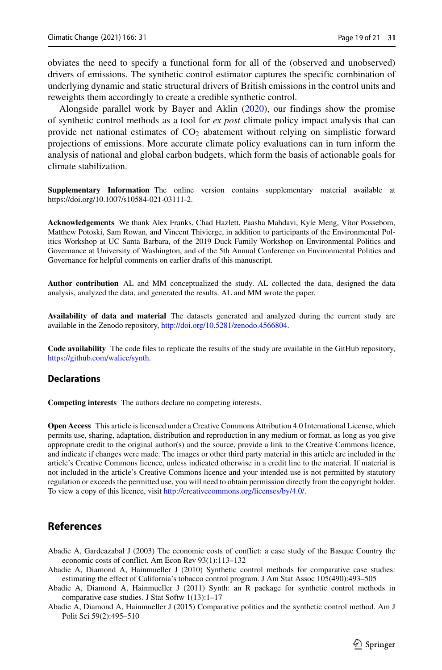obviates the need to specify a functional form for all of the (observed and unobserved) drivers of emissions. The synthetic control estimator captures the specific combination of underlying dynamic and static structural drivers of British emissions in the control units and reweights them accordingly to create a credible synthetic control.

Alongside parallel work by Bayer and Aklin [\(2020\)](#page-19-2), our findings show the promise of synthetic control methods as a tool for *ex post* climate policy impact analysis that can provide net national estimates of  $CO<sub>2</sub>$  abatement without relying on simplistic forward projections of emissions. More accurate climate policy evaluations can in turn inform the analysis of national and global carbon budgets, which form the basis of actionable goals for climate stabilization.

**Supplementary Information** The online version contains supplementary material available at [https://doi.org/10.1007/s10584-021-03111-2.](https://doi.org/10.1007/s10584-021-03111-2)

Acknowledgements We thank Alex Franks, Chad Hazlett, Paasha Mahdavi, Kyle Meng, Vítor Possebom, Matthew Potoski, Sam Rowan, and Vincent Thivierge, in addition to participants of the Environmental Politics Workshop at UC Santa Barbara, of the 2019 Duck Family Workshop on Environmental Politics and Governance at University of Washington, and of the 5th Annual Conference on Environmental Politics and Governance for helpful comments on earlier drafts of this manuscript.

**Author contribution** AL and MM conceptualized the study. AL collected the data, designed the data analysis, analyzed the data, and generated the results. AL and MM wrote the paper.

**Availability of data and material** The datasets generated and analyzed during the current study are available in the Zenodo repository, [http://doi.org/10.5281/zenodo.4566804.](http://doi.org/10.5281/zenodo.4566804)

**Code availability** The code files to replicate the results of the study are available in the GitHub repository, [https://github.com/walice/synth.](https://github.com/walice/synth)

#### **Declarations**

**Competing interests** The authors declare no competing interests.

**Open Access** This article is licensed under a Creative Commons Attribution 4.0 International License, which permits use, sharing, adaptation, distribution and reproduction in any medium or format, as long as you give appropriate credit to the original author(s) and the source, provide a link to the Creative Commons licence, and indicate if changes were made. The images or other third party material in this article are included in the article's Creative Commons licence, unless indicated otherwise in a credit line to the material. If material is not included in the article's Creative Commons licence and your intended use is not permitted by statutory regulation or exceeds the permitted use, you will need to obtain permission directly from the copyright holder. To view a copy of this licence, visit [http://creativecommons.org/licenses/by/4.0/.](http://creativecommons.org/licenses/by/4.0/)

## **References**

- <span id="page-18-0"></span>Abadie A, Gardeazabal J (2003) The economic costs of conflict: a case study of the Basque Country the economic costs of conflict. Am Econ Rev 93(1):113–132
- <span id="page-18-1"></span>Abadie A, Diamond A, Hainmueller J (2010) Synthetic control methods for comparative case studies: estimating the effect of California's tobacco control program. J Am Stat Assoc 105(490):493–505
- <span id="page-18-2"></span>Abadie A, Diamond A, Hainmueller J (2011) Synth: an R package for synthetic control methods in comparative case studies. J Stat Softw 1(13):1–17
- <span id="page-18-3"></span>Abadie A, Diamond A, Hainmueller J (2015) Comparative politics and the synthetic control method. Am J Polit Sci 59(2):495–510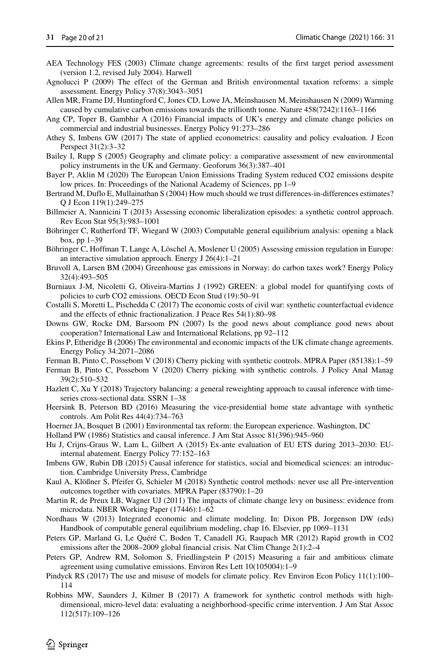- <span id="page-19-14"></span>AEA Technology FES (2003) Climate change agreements: results of the first target period assessment (version 1.2, revised July 2004). Harwell
- <span id="page-19-10"></span>Agnolucci P (2009) The effect of the German and British environmental taxation reforms: a simple assessment. Energy Policy 37(8):3043–3051
- <span id="page-19-19"></span>Allen MR, Frame DJ, Huntingford C, Jones CD, Lowe JA, Meinshausen M, Meinshausen N (2009) Warming caused by cumulative carbon emissions towards the trillionth tonne. Nature 458(7242):1163–1166
- <span id="page-19-12"></span>Ang CP, Toper B, Gambhir A (2016) Financial impacts of UK's energy and climate change policies on commercial and industrial businesses. Energy Policy 91:273–286
- <span id="page-19-20"></span>Athey S, Imbens GW (2017) The state of applied econometrics: causality and policy evaluation. J Econ Perspect 31(2):3–32
- <span id="page-19-23"></span>Bailey I, Rupp S (2005) Geography and climate policy: a comparative assessment of new environmental policy instruments in the UK and Germany. Geoforum 36(3):387–401
- <span id="page-19-2"></span>Bayer P, Aklin M (2020) The European Union Emissions Trading System reduced CO2 emissions despite low prices. In: Proceedings of the National Academy of Sciences, pp 1–9
- <span id="page-19-29"></span>Bertrand M, Duflo E, Mullainathan S (2004) How much should we trust differences-in-differences estimates? Q J Econ 119(1):249–275
- <span id="page-19-3"></span>Billmeier A, Nannicini T (2013) Assessing economic liberalization episodes: a synthetic control approach. Rev Econ Stat 95(3):983–1001
- <span id="page-19-17"></span>Böhringer C, Rutherford TF, Wiegard W (2003) Computable general equilibrium analysis: opening a black box, pp 1–39
- <span id="page-19-7"></span>Böhringer C, Hoffman T, Lange A, Löschel A, Moslener U (2005) Assessing emission regulation in Europe: an interactive simulation approach. Energy J 26(4):1–21
- <span id="page-19-9"></span>Bruvoll A, Larsen BM (2004) Greenhouse gas emissions in Norway: do carbon taxes work? Energy Policy 32(4):493–505
- <span id="page-19-8"></span>Burniaux J-M, Nicoletti G, Oliveira-Martins J (1992) GREEN: a global model for quantifying costs of policies to curb CO2 emissions. OECD Econ Stud (19):50–91
- <span id="page-19-4"></span>Costalli S, Moretti L, Pischedda C (2017) The economic costs of civil war: synthetic counterfactual evidence and the effects of ethnic fractionalization. J Peace Res 54(1):80–98
- <span id="page-19-1"></span>Downs GW, Rocke DM, Barsoom PN (2007) Is the good news about compliance good news about cooperation? International Law and International Relations, pp 92–112
- <span id="page-19-18"></span>Ekins P, Etheridge B (2006) The environmental and economic impacts of the UK climate change agreements. Energy Policy 34:2071–2086
- <span id="page-19-28"></span>Ferman B, Pinto C, Possebom V (2018) Cherry picking with synthetic controls. MPRA Paper (85138):1–59
- <span id="page-19-24"></span>Ferman B, Pinto C, Possebom V (2020) Cherry picking with synthetic controls. J Policy Anal Manag 39(2):510–532
- <span id="page-19-22"></span>Hazlett C, Xu Y (2018) Trajectory balancing: a general reweighting approach to causal inference with timeseries cross-sectional data. SSRN 1–38
- <span id="page-19-5"></span>Heersink B, Peterson BD (2016) Measuring the vice-presidential home state advantage with synthetic controls. Am Polit Res 44(4):734–763
- <span id="page-19-26"></span>Hoerner JA, Bosquet B (2001) Environmental tax reform: the European experience. Washington, DC

<span id="page-19-21"></span>Holland PW (1986) Statistics and causal inference. J Am Stat Assoc 81(396):945–960

- <span id="page-19-11"></span>Hu J, Crijns-Graus W, Lam L, Gilbert A (2015) Ex-ante evaluation of EU ETS during 2013–2030: EUinternal abatement. Energy Policy 77:152–163
- <span id="page-19-25"></span>Imbens GW, Rubin DB (2015) Causal inference for statistics, social and biomedical sciences: an introduction. Cambridge University Press, Cambridge
- <span id="page-19-27"></span>Kaul A, Klößner S, Pfeifer G, Schieler M (2018) Synthetic control methods: never use all Pre-intervention outcomes together with covariates. MPRA Paper (83790):1–20
- <span id="page-19-13"></span>Martin R, de Preux LB, Wagner UJ (2011) The impacts of climate change levy on business: evidence from microdata. NBER Working Paper (17446):1–62
- <span id="page-19-15"></span>Nordhaus W (2013) Integrated economic and climate modeling. In: Dixon PB, Jorgenson DW (eds) Handbook of computable general equilibrium modeling, chap 16. Elsevier, pp 1069–1131
- <span id="page-19-0"></span>Peters GP, Marland G, Le Quéré C, Boden T, Canadell JG, Raupach MR (2012) Rapid growth in CO2 emissions after the 2008–2009 global financial crisis. Nat Clim Change 2(1):2–4
- <span id="page-19-30"></span>Peters GP, Andrew RM, Solomon S, Friedlingstein P (2015) Measuring a fair and ambitious climate agreement using cumulative emissions. Environ Res Lett 10(105004):1–9
- <span id="page-19-16"></span>Pindyck RS (2017) The use and misuse of models for climate policy. Rev Environ Econ Policy 11(1):100– 114
- <span id="page-19-6"></span>Robbins MW, Saunders J, Kilmer B (2017) A framework for synthetic control methods with highdimensional, micro-level data: evaluating a neighborhood-specific crime intervention. J Am Stat Assoc 112(517):109–126